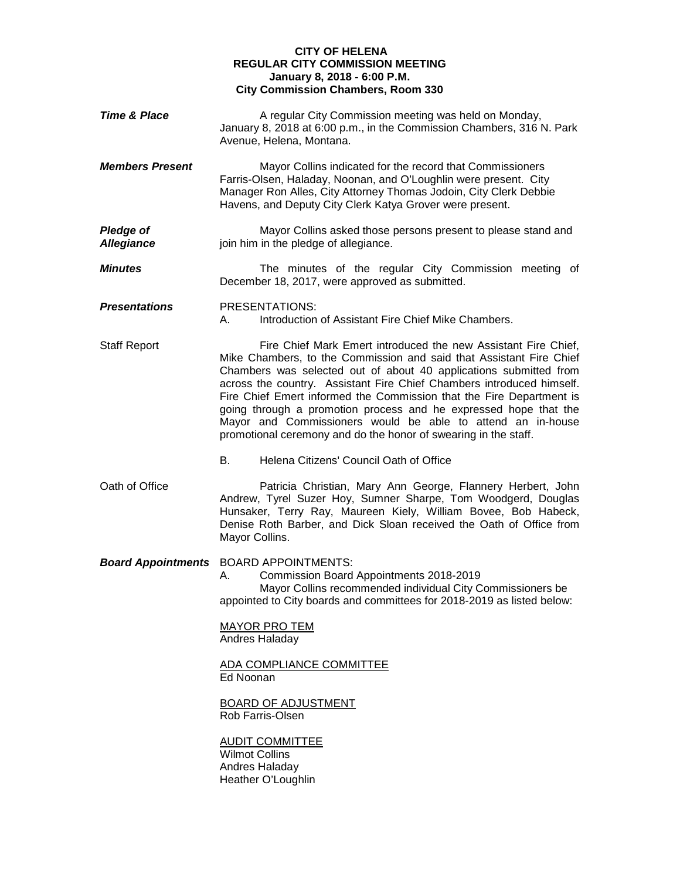## **CITY OF HELENA REGULAR CITY COMMISSION MEETING January 8, 2018 - 6:00 P.M. City Commission Chambers, Room 330**

| <b>Time &amp; Place</b>               | A regular City Commission meeting was held on Monday,<br>January 8, 2018 at 6:00 p.m., in the Commission Chambers, 316 N. Park<br>Avenue, Helena, Montana.                                                                                                                                                                                                                                                                                                                                                                                                        |
|---------------------------------------|-------------------------------------------------------------------------------------------------------------------------------------------------------------------------------------------------------------------------------------------------------------------------------------------------------------------------------------------------------------------------------------------------------------------------------------------------------------------------------------------------------------------------------------------------------------------|
| <b>Members Present</b>                | Mayor Collins indicated for the record that Commissioners<br>Farris-Olsen, Haladay, Noonan, and O'Loughlin were present. City<br>Manager Ron Alles, City Attorney Thomas Jodoin, City Clerk Debbie<br>Havens, and Deputy City Clerk Katya Grover were present.                                                                                                                                                                                                                                                                                                    |
| <b>Pledge of</b><br><b>Allegiance</b> | Mayor Collins asked those persons present to please stand and<br>join him in the pledge of allegiance.                                                                                                                                                                                                                                                                                                                                                                                                                                                            |
| <b>Minutes</b>                        | The minutes of the regular City Commission meeting of<br>December 18, 2017, were approved as submitted.                                                                                                                                                                                                                                                                                                                                                                                                                                                           |
| <b>Presentations</b>                  | PRESENTATIONS:<br>Introduction of Assistant Fire Chief Mike Chambers.<br>А.                                                                                                                                                                                                                                                                                                                                                                                                                                                                                       |
| <b>Staff Report</b>                   | Fire Chief Mark Emert introduced the new Assistant Fire Chief,<br>Mike Chambers, to the Commission and said that Assistant Fire Chief<br>Chambers was selected out of about 40 applications submitted from<br>across the country. Assistant Fire Chief Chambers introduced himself.<br>Fire Chief Emert informed the Commission that the Fire Department is<br>going through a promotion process and he expressed hope that the<br>Mayor and Commissioners would be able to attend an in-house<br>promotional ceremony and do the honor of swearing in the staff. |
|                                       | Helena Citizens' Council Oath of Office<br>В.                                                                                                                                                                                                                                                                                                                                                                                                                                                                                                                     |
| Oath of Office                        | Patricia Christian, Mary Ann George, Flannery Herbert, John<br>Andrew, Tyrel Suzer Hoy, Sumner Sharpe, Tom Woodgerd, Douglas<br>Hunsaker, Terry Ray, Maureen Kiely, William Bovee, Bob Habeck,<br>Denise Roth Barber, and Dick Sloan received the Oath of Office from<br>Mayor Collins.                                                                                                                                                                                                                                                                           |
|                                       | <b>Board Appointments</b> BOARD APPOINTMENTS:<br>Commission Board Appointments 2018-2019<br>А.<br>Mayor Collins recommended individual City Commissioners be<br>appointed to City boards and committees for 2018-2019 as listed below:<br><b>MAYOR PRO TEM</b><br>Andres Haladay<br>ADA COMPLIANCE COMMITTEE<br>Ed Noonan<br><b>BOARD OF ADJUSTMENT</b><br>Rob Farris-Olsen<br><b>AUDIT COMMITTEE</b><br><b>Wilmot Collins</b><br>Andres Haladay<br>Heather O'Loughlin                                                                                            |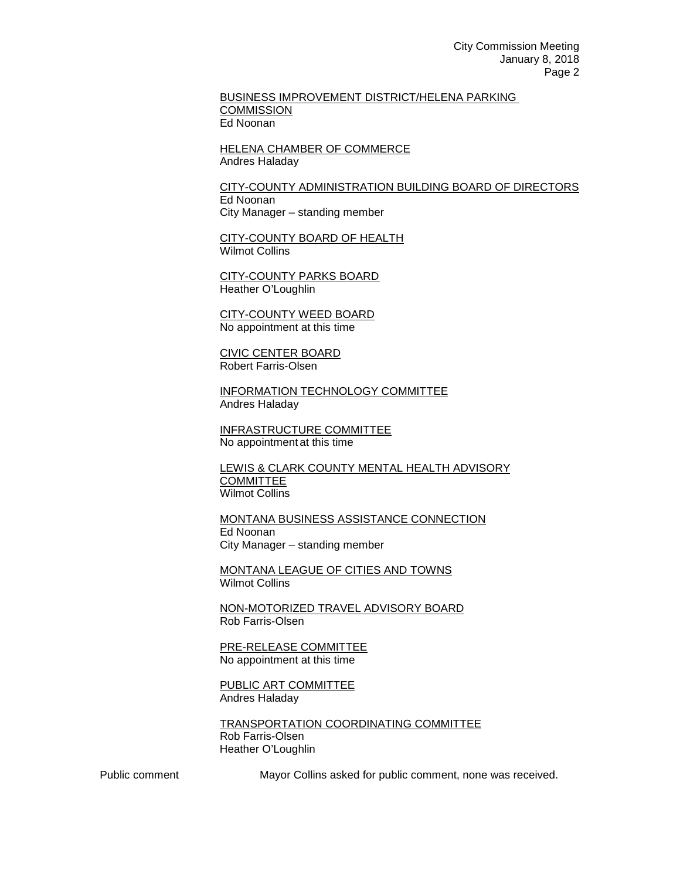BUSINESS IMPROVEMENT DISTRICT/HELENA PARKING **COMMISSION** Ed Noonan

HELENA CHAMBER OF COMMERCE Andres Haladay

CITY-COUNTY ADMINISTRATION BUILDING BOARD OF DIRECTORS Ed Noonan City Manager – standing member

CITY-COUNTY BOARD OF HEALTH Wilmot Collins

CITY-COUNTY PARKS BOARD Heather O'Loughlin

CITY-COUNTY WEED BOARD No appointment at this time

CIVIC CENTER BOARD Robert Farris-Olsen

INFORMATION TECHNOLOGY COMMITTEE Andres Haladay

INFRASTRUCTURE COMMITTEE No appointment at this time

LEWIS & CLARK COUNTY MENTAL HEALTH ADVISORY **COMMITTEE** Wilmot Collins

MONTANA BUSINESS ASSISTANCE CONNECTION Ed Noonan City Manager – standing member

MONTANA LEAGUE OF CITIES AND TOWNS Wilmot Collins

NON-MOTORIZED TRAVEL ADVISORY BOARD Rob Farris-Olsen

PRE-RELEASE COMMITTEE No appointment at this time

PUBLIC ART COMMITTEE Andres Haladay

TRANSPORTATION COORDINATING COMMITTEE Rob Farris-Olsen Heather O'Loughlin

Public comment Mayor Collins asked for public comment, none was received.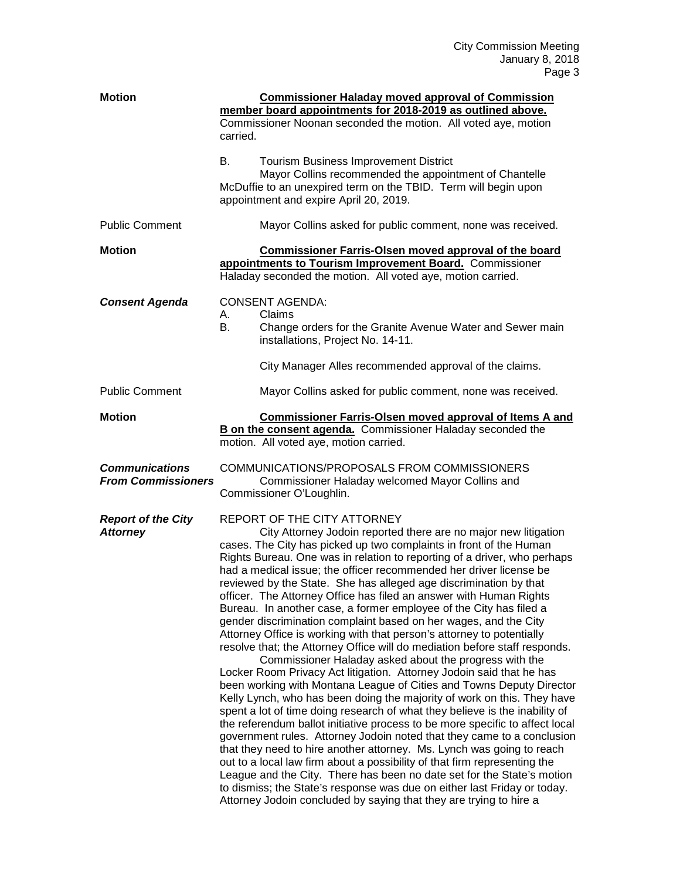| <b>Motion</b>                                      | <b>Commissioner Haladay moved approval of Commission</b><br>member board appointments for 2018-2019 as outlined above.<br>Commissioner Noonan seconded the motion. All voted aye, motion<br>carried.                                                                                                                                                                                                                                                                                                                                                                                                                                                                                                                                                                                                                                                                                                                                                                                                                                                                                                                                                                                                                                                                                                                                                                                                                                                                                                                                                                                                                                                                               |
|----------------------------------------------------|------------------------------------------------------------------------------------------------------------------------------------------------------------------------------------------------------------------------------------------------------------------------------------------------------------------------------------------------------------------------------------------------------------------------------------------------------------------------------------------------------------------------------------------------------------------------------------------------------------------------------------------------------------------------------------------------------------------------------------------------------------------------------------------------------------------------------------------------------------------------------------------------------------------------------------------------------------------------------------------------------------------------------------------------------------------------------------------------------------------------------------------------------------------------------------------------------------------------------------------------------------------------------------------------------------------------------------------------------------------------------------------------------------------------------------------------------------------------------------------------------------------------------------------------------------------------------------------------------------------------------------------------------------------------------------|
|                                                    | B.<br><b>Tourism Business Improvement District</b><br>Mayor Collins recommended the appointment of Chantelle<br>McDuffie to an unexpired term on the TBID. Term will begin upon<br>appointment and expire April 20, 2019.                                                                                                                                                                                                                                                                                                                                                                                                                                                                                                                                                                                                                                                                                                                                                                                                                                                                                                                                                                                                                                                                                                                                                                                                                                                                                                                                                                                                                                                          |
| <b>Public Comment</b>                              | Mayor Collins asked for public comment, none was received.                                                                                                                                                                                                                                                                                                                                                                                                                                                                                                                                                                                                                                                                                                                                                                                                                                                                                                                                                                                                                                                                                                                                                                                                                                                                                                                                                                                                                                                                                                                                                                                                                         |
| <b>Motion</b>                                      | <b>Commissioner Farris-Olsen moved approval of the board</b><br>appointments to Tourism Improvement Board. Commissioner<br>Haladay seconded the motion. All voted aye, motion carried.                                                                                                                                                                                                                                                                                                                                                                                                                                                                                                                                                                                                                                                                                                                                                                                                                                                                                                                                                                                                                                                                                                                                                                                                                                                                                                                                                                                                                                                                                             |
| <b>Consent Agenda</b>                              | <b>CONSENT AGENDA:</b><br>А.<br>Claims<br>B.<br>Change orders for the Granite Avenue Water and Sewer main<br>installations, Project No. 14-11.<br>City Manager Alles recommended approval of the claims.                                                                                                                                                                                                                                                                                                                                                                                                                                                                                                                                                                                                                                                                                                                                                                                                                                                                                                                                                                                                                                                                                                                                                                                                                                                                                                                                                                                                                                                                           |
| <b>Public Comment</b>                              | Mayor Collins asked for public comment, none was received.                                                                                                                                                                                                                                                                                                                                                                                                                                                                                                                                                                                                                                                                                                                                                                                                                                                                                                                                                                                                                                                                                                                                                                                                                                                                                                                                                                                                                                                                                                                                                                                                                         |
| <b>Motion</b>                                      | <b>Commissioner Farris-Olsen moved approval of Items A and</b><br>B on the consent agenda. Commissioner Haladay seconded the<br>motion. All voted aye, motion carried.                                                                                                                                                                                                                                                                                                                                                                                                                                                                                                                                                                                                                                                                                                                                                                                                                                                                                                                                                                                                                                                                                                                                                                                                                                                                                                                                                                                                                                                                                                             |
| <b>Communications</b><br><b>From Commissioners</b> | COMMUNICATIONS/PROPOSALS FROM COMMISSIONERS<br>Commissioner Haladay welcomed Mayor Collins and<br>Commissioner O'Loughlin.                                                                                                                                                                                                                                                                                                                                                                                                                                                                                                                                                                                                                                                                                                                                                                                                                                                                                                                                                                                                                                                                                                                                                                                                                                                                                                                                                                                                                                                                                                                                                         |
| <b>Report of the City</b><br><b>Attorney</b>       | REPORT OF THE CITY ATTORNEY<br>City Attorney Jodoin reported there are no major new litigation<br>cases. The City has picked up two complaints in front of the Human<br>Rights Bureau. One was in relation to reporting of a driver, who perhaps<br>had a medical issue; the officer recommended her driver license be<br>reviewed by the State. She has alleged age discrimination by that<br>officer. The Attorney Office has filed an answer with Human Rights<br>Bureau. In another case, a former employee of the City has filed a<br>gender discrimination complaint based on her wages, and the City<br>Attorney Office is working with that person's attorney to potentially<br>resolve that; the Attorney Office will do mediation before staff responds.<br>Commissioner Haladay asked about the progress with the<br>Locker Room Privacy Act litigation. Attorney Jodoin said that he has<br>been working with Montana League of Cities and Towns Deputy Director<br>Kelly Lynch, who has been doing the majority of work on this. They have<br>spent a lot of time doing research of what they believe is the inability of<br>the referendum ballot initiative process to be more specific to affect local<br>government rules. Attorney Jodoin noted that they came to a conclusion<br>that they need to hire another attorney. Ms. Lynch was going to reach<br>out to a local law firm about a possibility of that firm representing the<br>League and the City. There has been no date set for the State's motion<br>to dismiss; the State's response was due on either last Friday or today.<br>Attorney Jodoin concluded by saying that they are trying to hire a |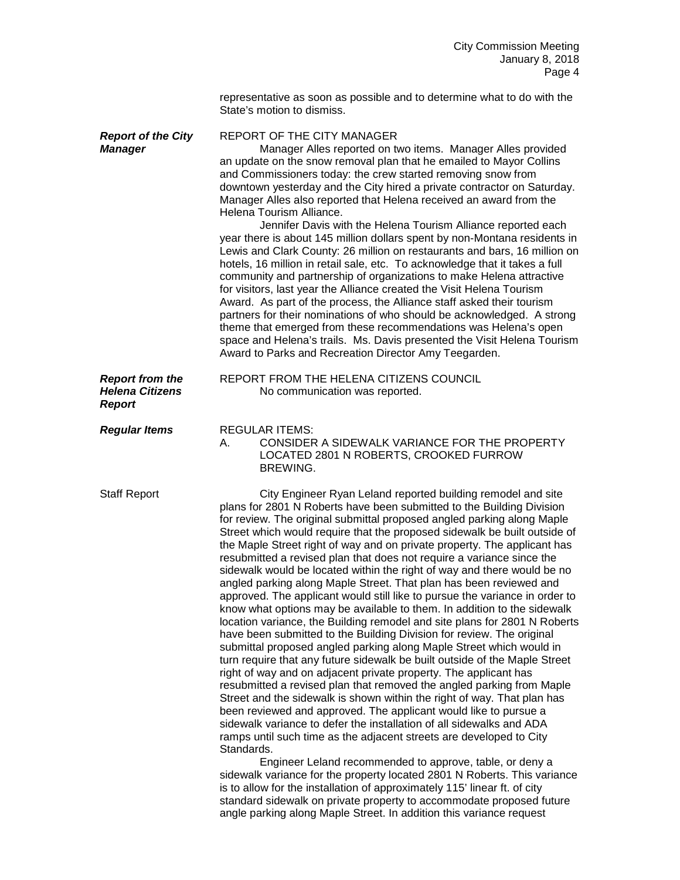representative as soon as possible and to determine what to do with the State's motion to dismiss.

| <b>Report of the City</b><br><b>Manager</b>                       | REPORT OF THE CITY MANAGER<br>Manager Alles reported on two items. Manager Alles provided<br>an update on the snow removal plan that he emailed to Mayor Collins<br>and Commissioners today: the crew started removing snow from<br>downtown yesterday and the City hired a private contractor on Saturday.<br>Manager Alles also reported that Helena received an award from the<br>Helena Tourism Alliance.<br>Jennifer Davis with the Helena Tourism Alliance reported each<br>year there is about 145 million dollars spent by non-Montana residents in<br>Lewis and Clark County: 26 million on restaurants and bars, 16 million on<br>hotels, 16 million in retail sale, etc. To acknowledge that it takes a full<br>community and partnership of organizations to make Helena attractive<br>for visitors, last year the Alliance created the Visit Helena Tourism<br>Award. As part of the process, the Alliance staff asked their tourism<br>partners for their nominations of who should be acknowledged. A strong<br>theme that emerged from these recommendations was Helena's open<br>space and Helena's trails. Ms. Davis presented the Visit Helena Tourism<br>Award to Parks and Recreation Director Amy Teegarden.                                                                                                                                                                                                                                                                                                                                                                                                                                                                                                                                                                                                                                                                   |
|-------------------------------------------------------------------|------------------------------------------------------------------------------------------------------------------------------------------------------------------------------------------------------------------------------------------------------------------------------------------------------------------------------------------------------------------------------------------------------------------------------------------------------------------------------------------------------------------------------------------------------------------------------------------------------------------------------------------------------------------------------------------------------------------------------------------------------------------------------------------------------------------------------------------------------------------------------------------------------------------------------------------------------------------------------------------------------------------------------------------------------------------------------------------------------------------------------------------------------------------------------------------------------------------------------------------------------------------------------------------------------------------------------------------------------------------------------------------------------------------------------------------------------------------------------------------------------------------------------------------------------------------------------------------------------------------------------------------------------------------------------------------------------------------------------------------------------------------------------------------------------------------------------------------------------------------------------------------------------|
| <b>Report from the</b><br><b>Helena Citizens</b><br><b>Report</b> | REPORT FROM THE HELENA CITIZENS COUNCIL<br>No communication was reported.                                                                                                                                                                                                                                                                                                                                                                                                                                                                                                                                                                                                                                                                                                                                                                                                                                                                                                                                                                                                                                                                                                                                                                                                                                                                                                                                                                                                                                                                                                                                                                                                                                                                                                                                                                                                                            |
| <b>Regular Items</b>                                              | <b>REGULAR ITEMS:</b><br>CONSIDER A SIDEWALK VARIANCE FOR THE PROPERTY<br>А.<br>LOCATED 2801 N ROBERTS, CROOKED FURROW<br>BREWING.                                                                                                                                                                                                                                                                                                                                                                                                                                                                                                                                                                                                                                                                                                                                                                                                                                                                                                                                                                                                                                                                                                                                                                                                                                                                                                                                                                                                                                                                                                                                                                                                                                                                                                                                                                   |
| <b>Staff Report</b>                                               | City Engineer Ryan Leland reported building remodel and site<br>plans for 2801 N Roberts have been submitted to the Building Division<br>for review. The original submittal proposed angled parking along Maple<br>Street which would require that the proposed sidewalk be built outside of<br>the Maple Street right of way and on private property. The applicant has<br>resubmitted a revised plan that does not require a variance since the<br>sidewalk would be located within the right of way and there would be no<br>angled parking along Maple Street. That plan has been reviewed and<br>approved. The applicant would still like to pursue the variance in order to<br>know what options may be available to them. In addition to the sidewalk<br>location variance, the Building remodel and site plans for 2801 N Roberts<br>have been submitted to the Building Division for review. The original<br>submittal proposed angled parking along Maple Street which would in<br>turn require that any future sidewalk be built outside of the Maple Street<br>right of way and on adjacent private property. The applicant has<br>resubmitted a revised plan that removed the angled parking from Maple<br>Street and the sidewalk is shown within the right of way. That plan has<br>been reviewed and approved. The applicant would like to pursue a<br>sidewalk variance to defer the installation of all sidewalks and ADA<br>ramps until such time as the adjacent streets are developed to City<br>Standards.<br>Engineer Leland recommended to approve, table, or deny a<br>sidewalk variance for the property located 2801 N Roberts. This variance<br>is to allow for the installation of approximately 115' linear ft. of city<br>standard sidewalk on private property to accommodate proposed future<br>angle parking along Maple Street. In addition this variance request |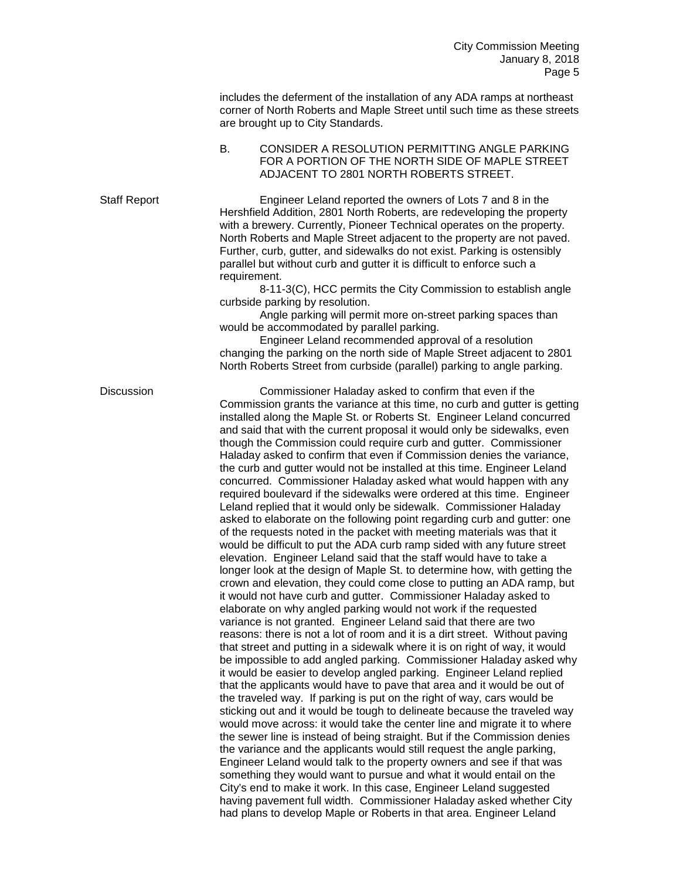includes the deferment of the installation of any ADA ramps at northeast corner of North Roberts and Maple Street until such time as these streets are brought up to City Standards.

## B. CONSIDER A RESOLUTION PERMITTING ANGLE PARKING FOR A PORTION OF THE NORTH SIDE OF MAPLE STREET ADJACENT TO 2801 NORTH ROBERTS STREET.

Staff Report Engineer Leland reported the owners of Lots 7 and 8 in the Hershfield Addition, 2801 North Roberts, are redeveloping the property with a brewery. Currently, Pioneer Technical operates on the property. North Roberts and Maple Street adjacent to the property are not paved. Further, curb, gutter, and sidewalks do not exist. Parking is ostensibly parallel but without curb and gutter it is difficult to enforce such a requirement.

8-11-3(C), HCC permits the City Commission to establish angle curbside parking by resolution.

Angle parking will permit more on-street parking spaces than would be accommodated by parallel parking.

Engineer Leland recommended approval of a resolution changing the parking on the north side of Maple Street adjacent to 2801 North Roberts Street from curbside (parallel) parking to angle parking.

Discussion Commissioner Haladay asked to confirm that even if the Commission grants the variance at this time, no curb and gutter is getting installed along the Maple St. or Roberts St. Engineer Leland concurred and said that with the current proposal it would only be sidewalks, even though the Commission could require curb and gutter. Commissioner Haladay asked to confirm that even if Commission denies the variance, the curb and gutter would not be installed at this time. Engineer Leland concurred. Commissioner Haladay asked what would happen with any required boulevard if the sidewalks were ordered at this time. Engineer Leland replied that it would only be sidewalk. Commissioner Haladay asked to elaborate on the following point regarding curb and gutter: one of the requests noted in the packet with meeting materials was that it would be difficult to put the ADA curb ramp sided with any future street elevation. Engineer Leland said that the staff would have to take a longer look at the design of Maple St. to determine how, with getting the crown and elevation, they could come close to putting an ADA ramp, but it would not have curb and gutter. Commissioner Haladay asked to elaborate on why angled parking would not work if the requested variance is not granted. Engineer Leland said that there are two reasons: there is not a lot of room and it is a dirt street. Without paving that street and putting in a sidewalk where it is on right of way, it would be impossible to add angled parking. Commissioner Haladay asked why it would be easier to develop angled parking. Engineer Leland replied that the applicants would have to pave that area and it would be out of the traveled way. If parking is put on the right of way, cars would be sticking out and it would be tough to delineate because the traveled way would move across: it would take the center line and migrate it to where the sewer line is instead of being straight. But if the Commission denies the variance and the applicants would still request the angle parking, Engineer Leland would talk to the property owners and see if that was something they would want to pursue and what it would entail on the City's end to make it work. In this case, Engineer Leland suggested having pavement full width. Commissioner Haladay asked whether City had plans to develop Maple or Roberts in that area. Engineer Leland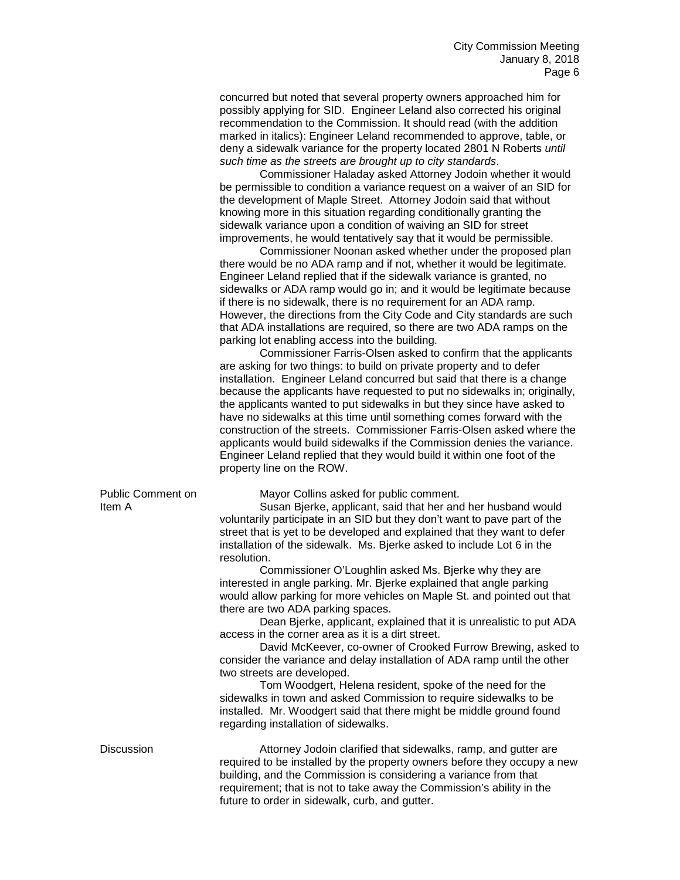concurred but noted that several property owners approached him for possibly applying for SID. Engineer Leland also corrected his original recommendation to the Commission. It should read (with the addition marked in italics): Engineer Leland recommended to approve, table, or deny a sidewalk variance for the property located 2801 N Roberts *until such time as the streets are brought up to city standards*.

Commissioner Haladay asked Attorney Jodoin whether it would be permissible to condition a variance request on a waiver of an SID for the development of Maple Street. Attorney Jodoin said that without knowing more in this situation regarding conditionally granting the sidewalk variance upon a condition of waiving an SID for street improvements, he would tentatively say that it would be permissible.

Commissioner Noonan asked whether under the proposed plan there would be no ADA ramp and if not, whether it would be legitimate. Engineer Leland replied that if the sidewalk variance is granted, no sidewalks or ADA ramp would go in; and it would be legitimate because if there is no sidewalk, there is no requirement for an ADA ramp. However, the directions from the City Code and City standards are such that ADA installations are required, so there are two ADA ramps on the parking lot enabling access into the building.

Commissioner Farris-Olsen asked to confirm that the applicants are asking for two things: to build on private property and to defer installation. Engineer Leland concurred but said that there is a change because the applicants have requested to put no sidewalks in; originally, the applicants wanted to put sidewalks in but they since have asked to have no sidewalks at this time until something comes forward with the construction of the streets. Commissioner Farris-Olsen asked where the applicants would build sidewalks if the Commission denies the variance. Engineer Leland replied that they would build it within one foot of the property line on the ROW.

Public Comment on Mayor Collins asked for public comment.

Item A Susan Bjerke, applicant, said that her and her husband would voluntarily participate in an SID but they don't want to pave part of the street that is yet to be developed and explained that they want to defer installation of the sidewalk. Ms. Bjerke asked to include Lot 6 in the resolution.

> Commissioner O'Loughlin asked Ms. Bjerke why they are interested in angle parking. Mr. Bjerke explained that angle parking would allow parking for more vehicles on Maple St. and pointed out that there are two ADA parking spaces.

Dean Bjerke, applicant, explained that it is unrealistic to put ADA access in the corner area as it is a dirt street.

David McKeever, co-owner of Crooked Furrow Brewing, asked to consider the variance and delay installation of ADA ramp until the other two streets are developed.

Tom Woodgert, Helena resident, spoke of the need for the sidewalks in town and asked Commission to require sidewalks to be installed. Mr. Woodgert said that there might be middle ground found regarding installation of sidewalks.

Discussion **Attorney Jodoin clarified that sidewalks**, ramp, and gutter are required to be installed by the property owners before they occupy a new building, and the Commission is considering a variance from that requirement; that is not to take away the Commission's ability in the future to order in sidewalk, curb, and gutter.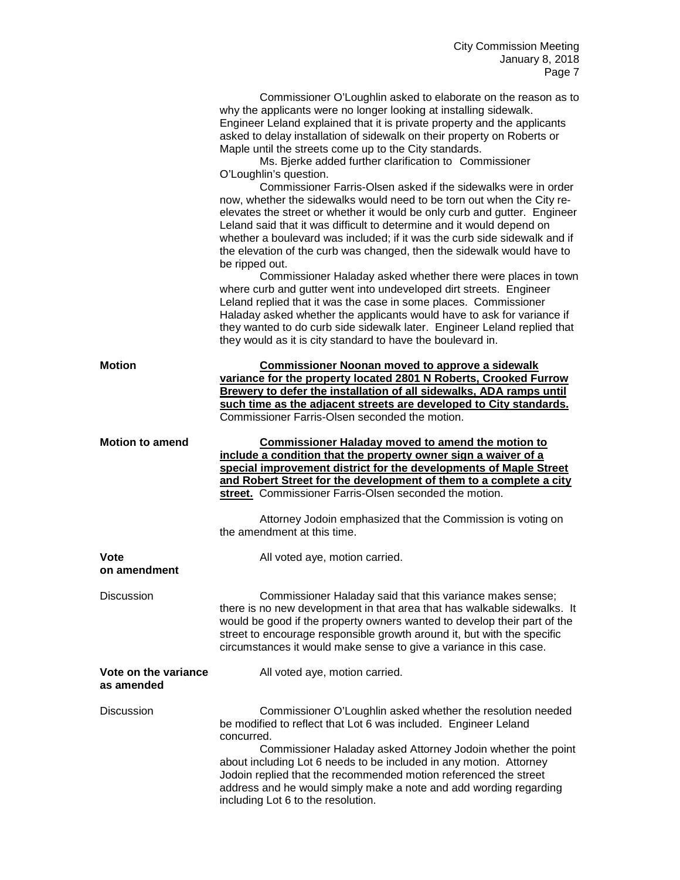|                                    | Commissioner O'Loughlin asked to elaborate on the reason as to<br>why the applicants were no longer looking at installing sidewalk.<br>Engineer Leland explained that it is private property and the applicants<br>asked to delay installation of sidewalk on their property on Roberts or<br>Maple until the streets come up to the City standards.<br>Ms. Bjerke added further clarification to Commissioner<br>O'Loughlin's question.                                |
|------------------------------------|-------------------------------------------------------------------------------------------------------------------------------------------------------------------------------------------------------------------------------------------------------------------------------------------------------------------------------------------------------------------------------------------------------------------------------------------------------------------------|
|                                    | Commissioner Farris-Olsen asked if the sidewalks were in order<br>now, whether the sidewalks would need to be torn out when the City re-<br>elevates the street or whether it would be only curb and gutter. Engineer<br>Leland said that it was difficult to determine and it would depend on<br>whether a boulevard was included; if it was the curb side sidewalk and if<br>the elevation of the curb was changed, then the sidewalk would have to<br>be ripped out. |
|                                    | Commissioner Haladay asked whether there were places in town<br>where curb and gutter went into undeveloped dirt streets. Engineer<br>Leland replied that it was the case in some places. Commissioner<br>Haladay asked whether the applicants would have to ask for variance if<br>they wanted to do curb side sidewalk later. Engineer Leland replied that<br>they would as it is city standard to have the boulevard in.                                             |
| Motion                             | <b>Commissioner Noonan moved to approve a sidewalk</b><br>variance for the property located 2801 N Roberts, Crooked Furrow<br>Brewery to defer the installation of all sidewalks, ADA ramps until<br>such time as the adjacent streets are developed to City standards.<br>Commissioner Farris-Olsen seconded the motion.                                                                                                                                               |
| <b>Motion to amend</b>             | <b>Commissioner Haladay moved to amend the motion to</b><br>include a condition that the property owner sign a waiver of a<br>special improvement district for the developments of Maple Street<br>and Robert Street for the development of them to a complete a city<br>street. Commissioner Farris-Olsen seconded the motion.                                                                                                                                         |
|                                    | Attorney Jodoin emphasized that the Commission is voting on<br>the amendment at this time.                                                                                                                                                                                                                                                                                                                                                                              |
| Vote<br>on amendment               | All voted aye, motion carried.                                                                                                                                                                                                                                                                                                                                                                                                                                          |
| <b>Discussion</b>                  | Commissioner Haladay said that this variance makes sense;<br>there is no new development in that area that has walkable sidewalks. It<br>would be good if the property owners wanted to develop their part of the<br>street to encourage responsible growth around it, but with the specific<br>circumstances it would make sense to give a variance in this case.                                                                                                      |
| Vote on the variance<br>as amended | All voted aye, motion carried.                                                                                                                                                                                                                                                                                                                                                                                                                                          |
| <b>Discussion</b>                  | Commissioner O'Loughlin asked whether the resolution needed<br>be modified to reflect that Lot 6 was included. Engineer Leland<br>concurred.<br>Commissioner Haladay asked Attorney Jodoin whether the point<br>about including Lot 6 needs to be included in any motion. Attorney<br>Jodoin replied that the recommended motion referenced the street<br>address and he would simply make a note and add wording regarding<br>including Lot 6 to the resolution.       |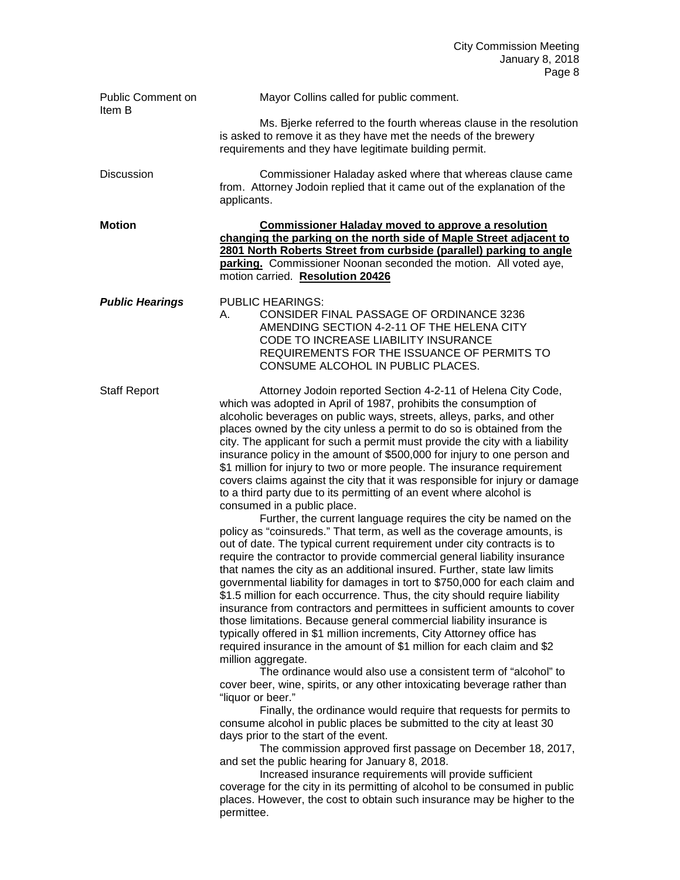| Public Comment on<br>Item B | Mayor Collins called for public comment.                                                                                                                                                                                                                                                                                                                                                                                                                                                                                                                                                                                                                                                                                                                                                                                                                                                                                                                                                                                                                                                                                                                                                                                                                                                                                                                                                                                                                                                                                                                                                                                                                                                                                                                                                                                                                                                                                                                                                                                                                                                                                                                                                                                                                                                                 |
|-----------------------------|----------------------------------------------------------------------------------------------------------------------------------------------------------------------------------------------------------------------------------------------------------------------------------------------------------------------------------------------------------------------------------------------------------------------------------------------------------------------------------------------------------------------------------------------------------------------------------------------------------------------------------------------------------------------------------------------------------------------------------------------------------------------------------------------------------------------------------------------------------------------------------------------------------------------------------------------------------------------------------------------------------------------------------------------------------------------------------------------------------------------------------------------------------------------------------------------------------------------------------------------------------------------------------------------------------------------------------------------------------------------------------------------------------------------------------------------------------------------------------------------------------------------------------------------------------------------------------------------------------------------------------------------------------------------------------------------------------------------------------------------------------------------------------------------------------------------------------------------------------------------------------------------------------------------------------------------------------------------------------------------------------------------------------------------------------------------------------------------------------------------------------------------------------------------------------------------------------------------------------------------------------------------------------------------------------|
|                             | Ms. Bjerke referred to the fourth whereas clause in the resolution<br>is asked to remove it as they have met the needs of the brewery<br>requirements and they have legitimate building permit.                                                                                                                                                                                                                                                                                                                                                                                                                                                                                                                                                                                                                                                                                                                                                                                                                                                                                                                                                                                                                                                                                                                                                                                                                                                                                                                                                                                                                                                                                                                                                                                                                                                                                                                                                                                                                                                                                                                                                                                                                                                                                                          |
| Discussion                  | Commissioner Haladay asked where that whereas clause came<br>from. Attorney Jodoin replied that it came out of the explanation of the<br>applicants.                                                                                                                                                                                                                                                                                                                                                                                                                                                                                                                                                                                                                                                                                                                                                                                                                                                                                                                                                                                                                                                                                                                                                                                                                                                                                                                                                                                                                                                                                                                                                                                                                                                                                                                                                                                                                                                                                                                                                                                                                                                                                                                                                     |
| <b>Motion</b>               | <b>Commissioner Haladay moved to approve a resolution</b><br>changing the parking on the north side of Maple Street adjacent to<br>2801 North Roberts Street from curbside (parallel) parking to angle<br>parking. Commissioner Noonan seconded the motion. All voted aye,<br>motion carried. Resolution 20426                                                                                                                                                                                                                                                                                                                                                                                                                                                                                                                                                                                                                                                                                                                                                                                                                                                                                                                                                                                                                                                                                                                                                                                                                                                                                                                                                                                                                                                                                                                                                                                                                                                                                                                                                                                                                                                                                                                                                                                           |
| <b>Public Hearings</b>      | <b>PUBLIC HEARINGS:</b><br>CONSIDER FINAL PASSAGE OF ORDINANCE 3236<br>А.<br>AMENDING SECTION 4-2-11 OF THE HELENA CITY<br>CODE TO INCREASE LIABILITY INSURANCE<br>REQUIREMENTS FOR THE ISSUANCE OF PERMITS TO<br>CONSUME ALCOHOL IN PUBLIC PLACES.                                                                                                                                                                                                                                                                                                                                                                                                                                                                                                                                                                                                                                                                                                                                                                                                                                                                                                                                                                                                                                                                                                                                                                                                                                                                                                                                                                                                                                                                                                                                                                                                                                                                                                                                                                                                                                                                                                                                                                                                                                                      |
| <b>Staff Report</b>         | Attorney Jodoin reported Section 4-2-11 of Helena City Code,<br>which was adopted in April of 1987, prohibits the consumption of<br>alcoholic beverages on public ways, streets, alleys, parks, and other<br>places owned by the city unless a permit to do so is obtained from the<br>city. The applicant for such a permit must provide the city with a liability<br>insurance policy in the amount of \$500,000 for injury to one person and<br>\$1 million for injury to two or more people. The insurance requirement<br>covers claims against the city that it was responsible for injury or damage<br>to a third party due to its permitting of an event where alcohol is<br>consumed in a public place.<br>Further, the current language requires the city be named on the<br>policy as "coinsureds." That term, as well as the coverage amounts, is<br>out of date. The typical current requirement under city contracts is to<br>require the contractor to provide commercial general liability insurance<br>that names the city as an additional insured. Further, state law limits<br>governmental liability for damages in tort to \$750,000 for each claim and<br>\$1.5 million for each occurrence. Thus, the city should require liability<br>insurance from contractors and permittees in sufficient amounts to cover<br>those limitations. Because general commercial liability insurance is<br>typically offered in \$1 million increments, City Attorney office has<br>required insurance in the amount of \$1 million for each claim and \$2<br>million aggregate.<br>The ordinance would also use a consistent term of "alcohol" to<br>cover beer, wine, spirits, or any other intoxicating beverage rather than<br>"liquor or beer."<br>Finally, the ordinance would require that requests for permits to<br>consume alcohol in public places be submitted to the city at least 30<br>days prior to the start of the event.<br>The commission approved first passage on December 18, 2017,<br>and set the public hearing for January 8, 2018.<br>Increased insurance requirements will provide sufficient<br>coverage for the city in its permitting of alcohol to be consumed in public<br>places. However, the cost to obtain such insurance may be higher to the<br>permittee. |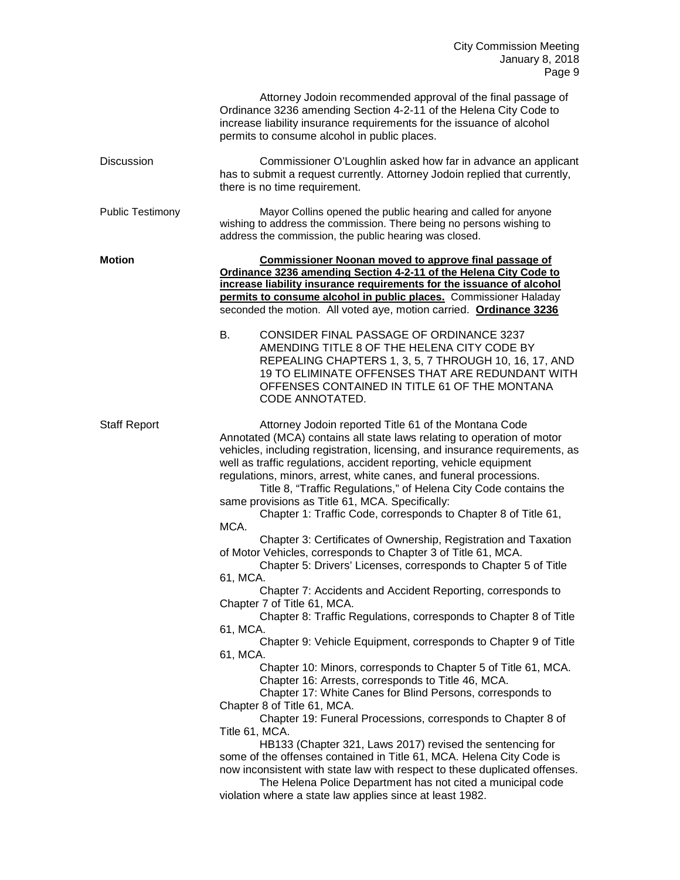|                         | Attorney Jodoin recommended approval of the final passage of<br>Ordinance 3236 amending Section 4-2-11 of the Helena City Code to<br>increase liability insurance requirements for the issuance of alcohol<br>permits to consume alcohol in public places.                                                                                                                                                                                                                                                                                                                                                                                                                                                                                                                                                                                                                                                                                                                                                                                                                                                                                                                                                                                                                                                                                                                                                                                                                                                                                                                                                                                                                                       |
|-------------------------|--------------------------------------------------------------------------------------------------------------------------------------------------------------------------------------------------------------------------------------------------------------------------------------------------------------------------------------------------------------------------------------------------------------------------------------------------------------------------------------------------------------------------------------------------------------------------------------------------------------------------------------------------------------------------------------------------------------------------------------------------------------------------------------------------------------------------------------------------------------------------------------------------------------------------------------------------------------------------------------------------------------------------------------------------------------------------------------------------------------------------------------------------------------------------------------------------------------------------------------------------------------------------------------------------------------------------------------------------------------------------------------------------------------------------------------------------------------------------------------------------------------------------------------------------------------------------------------------------------------------------------------------------------------------------------------------------|
| <b>Discussion</b>       | Commissioner O'Loughlin asked how far in advance an applicant<br>has to submit a request currently. Attorney Jodoin replied that currently,<br>there is no time requirement.                                                                                                                                                                                                                                                                                                                                                                                                                                                                                                                                                                                                                                                                                                                                                                                                                                                                                                                                                                                                                                                                                                                                                                                                                                                                                                                                                                                                                                                                                                                     |
| <b>Public Testimony</b> | Mayor Collins opened the public hearing and called for anyone<br>wishing to address the commission. There being no persons wishing to<br>address the commission, the public hearing was closed.                                                                                                                                                                                                                                                                                                                                                                                                                                                                                                                                                                                                                                                                                                                                                                                                                                                                                                                                                                                                                                                                                                                                                                                                                                                                                                                                                                                                                                                                                                  |
| <b>Motion</b>           | <b>Commissioner Noonan moved to approve final passage of</b><br>Ordinance 3236 amending Section 4-2-11 of the Helena City Code to<br>increase liability insurance requirements for the issuance of alcohol<br>permits to consume alcohol in public places. Commissioner Haladay<br>seconded the motion. All voted aye, motion carried. Ordinance 3236<br>В.<br>CONSIDER FINAL PASSAGE OF ORDINANCE 3237<br>AMENDING TITLE 8 OF THE HELENA CITY CODE BY<br>REPEALING CHAPTERS 1, 3, 5, 7 THROUGH 10, 16, 17, AND<br>19 TO ELIMINATE OFFENSES THAT ARE REDUNDANT WITH<br>OFFENSES CONTAINED IN TITLE 61 OF THE MONTANA<br>CODE ANNOTATED.                                                                                                                                                                                                                                                                                                                                                                                                                                                                                                                                                                                                                                                                                                                                                                                                                                                                                                                                                                                                                                                          |
| <b>Staff Report</b>     | Attorney Jodoin reported Title 61 of the Montana Code<br>Annotated (MCA) contains all state laws relating to operation of motor<br>vehicles, including registration, licensing, and insurance requirements, as<br>well as traffic regulations, accident reporting, vehicle equipment<br>regulations, minors, arrest, white canes, and funeral processions.<br>Title 8, "Traffic Regulations," of Helena City Code contains the<br>same provisions as Title 61, MCA. Specifically:<br>Chapter 1: Traffic Code, corresponds to Chapter 8 of Title 61,<br>MCA.<br>Chapter 3: Certificates of Ownership, Registration and Taxation<br>of Motor Vehicles, corresponds to Chapter 3 of Title 61, MCA.<br>Chapter 5: Drivers' Licenses, corresponds to Chapter 5 of Title<br>61, MCA.<br>Chapter 7: Accidents and Accident Reporting, corresponds to<br>Chapter 7 of Title 61, MCA.<br>Chapter 8: Traffic Regulations, corresponds to Chapter 8 of Title<br>61, MCA.<br>Chapter 9: Vehicle Equipment, corresponds to Chapter 9 of Title<br>61, MCA.<br>Chapter 10: Minors, corresponds to Chapter 5 of Title 61, MCA.<br>Chapter 16: Arrests, corresponds to Title 46, MCA.<br>Chapter 17: White Canes for Blind Persons, corresponds to<br>Chapter 8 of Title 61, MCA.<br>Chapter 19: Funeral Processions, corresponds to Chapter 8 of<br>Title 61, MCA.<br>HB133 (Chapter 321, Laws 2017) revised the sentencing for<br>some of the offenses contained in Title 61, MCA. Helena City Code is<br>now inconsistent with state law with respect to these duplicated offenses.<br>The Helena Police Department has not cited a municipal code<br>violation where a state law applies since at least 1982. |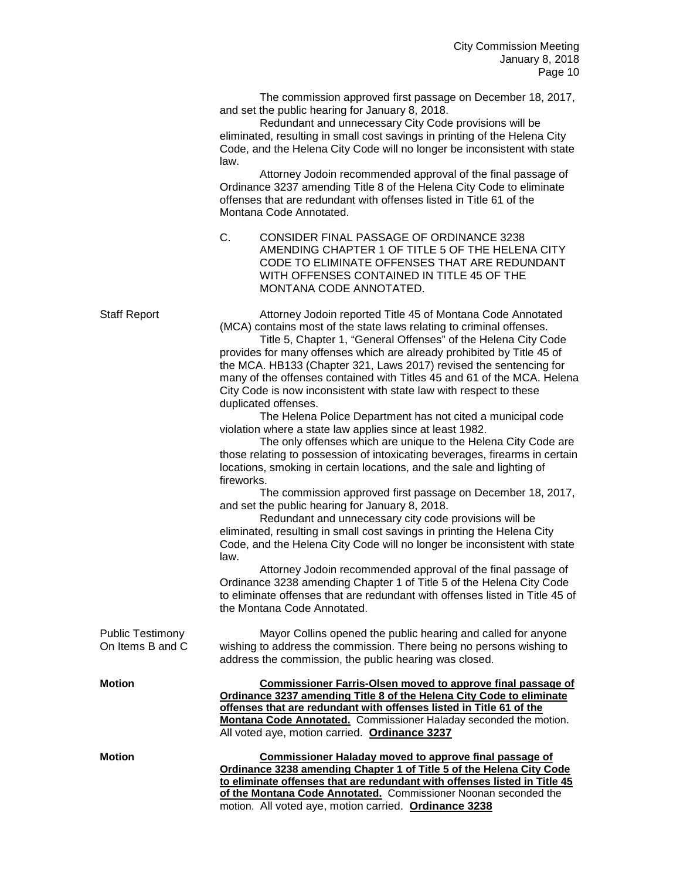The commission approved first passage on December 18, 2017, and set the public hearing for January 8, 2018.

Redundant and unnecessary City Code provisions will be eliminated, resulting in small cost savings in printing of the Helena City Code, and the Helena City Code will no longer be inconsistent with state law.

Attorney Jodoin recommended approval of the final passage of Ordinance 3237 amending Title 8 of the Helena City Code to eliminate offenses that are redundant with offenses listed in Title 61 of the Montana Code Annotated.

C. CONSIDER FINAL PASSAGE OF ORDINANCE 3238 AMENDING CHAPTER 1 OF TITLE 5 OF THE HELENA CITY CODE TO ELIMINATE OFFENSES THAT ARE REDUNDANT WITH OFFENSES CONTAINED IN TITLE 45 OF THE MONTANA CODE ANNOTATED.

Staff Report Attorney Jodoin reported Title 45 of Montana Code Annotated (MCA) contains most of the state laws relating to criminal offenses. Title 5, Chapter 1, "General Offenses" of the Helena City Code provides for many offenses which are already prohibited by Title 45 of the MCA. HB133 (Chapter 321, Laws 2017) revised the sentencing for many of the offenses contained with Titles 45 and 61 of the MCA. Helena City Code is now inconsistent with state law with respect to these duplicated offenses. The Helena Police Department has not cited a municipal code violation where a state law applies since at least 1982. The only offenses which are unique to the Helena City Code are those relating to possession of intoxicating beverages, firearms in certain locations, smoking in certain locations, and the sale and lighting of fireworks. The commission approved first passage on December 18, 2017, and set the public hearing for January 8, 2018. Redundant and unnecessary city code provisions will be eliminated, resulting in small cost savings in printing the Helena City Code, and the Helena City Code will no longer be inconsistent with state law. Attorney Jodoin recommended approval of the final passage of Ordinance 3238 amending Chapter 1 of Title 5 of the Helena City Code to eliminate offenses that are redundant with offenses listed in Title 45 of the Montana Code Annotated. Public Testimony **Mayor Collins opened the public hearing and called for anyone**<br>On Items B and C wishing to address the commission There being no persons wishing to wishing to address the commission. There being no persons wishing to address the commission, the public hearing was closed. **Motion Commissioner Farris-Olsen moved to approve final passage of Ordinance 3237 amending Title 8 of the Helena City Code to eliminate offenses that are redundant with offenses listed in Title 61 of the Montana Code Annotated.** Commissioner Haladay seconded the motion. All voted aye, motion carried. **Ordinance 3237 Motion Commissioner Haladay moved to approve final passage of Ordinance 3238 amending Chapter 1 of Title 5 of the Helena City Code to eliminate offenses that are redundant with offenses listed in Title 45** 

**of the Montana Code Annotated.** Commissioner Noonan seconded the

motion. All voted aye, motion carried. **Ordinance 3238**